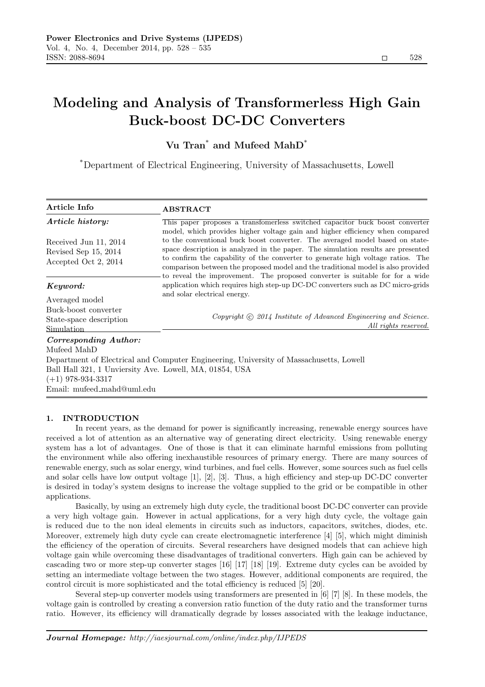# Modeling and Analysis of Transformerless High Gain Buck-boost DC-DC Converters

# Vu Tran\* and Mufeed MahD\*

\*Department of Electrical Engineering, University of Massachusetts, Lowell

| Article Info                                            | <b>ABSTRACT</b>                                                                                                                                                                                                                                                                                                                                                                                                                                                                                                                                                                          |
|---------------------------------------------------------|------------------------------------------------------------------------------------------------------------------------------------------------------------------------------------------------------------------------------------------------------------------------------------------------------------------------------------------------------------------------------------------------------------------------------------------------------------------------------------------------------------------------------------------------------------------------------------------|
| Article history:                                        | This paper proposes a transfomerless switched capacitor buck boost converter<br>model, which provides higher voltage gain and higher efficiency when compared<br>to the conventional buck boost converter. The averaged model based on state-<br>space description is analyzed in the paper. The simulation results are presented<br>to confirm the capability of the converter to generate high voltage ratios. The<br>comparison between the proposed model and the traditional model is also provided<br>to reveal the improvement. The proposed converter is suitable for for a wide |
| Received Jun 11, 2014<br>Revised Sep 15, 2014           |                                                                                                                                                                                                                                                                                                                                                                                                                                                                                                                                                                                          |
| Accepted Oct 2, 2014                                    |                                                                                                                                                                                                                                                                                                                                                                                                                                                                                                                                                                                          |
| Keyword:                                                | application which requires high step-up DC-DC converters such as DC micro-grids                                                                                                                                                                                                                                                                                                                                                                                                                                                                                                          |
| Averaged model                                          | and solar electrical energy.<br>Copyright (c) 2014 Institute of Advanced Engineering and Science.<br>All rights reserved.                                                                                                                                                                                                                                                                                                                                                                                                                                                                |
| Buck-boost converter                                    |                                                                                                                                                                                                                                                                                                                                                                                                                                                                                                                                                                                          |
| State-space description<br>Simulation                   |                                                                                                                                                                                                                                                                                                                                                                                                                                                                                                                                                                                          |
| Corresponding Author:                                   |                                                                                                                                                                                                                                                                                                                                                                                                                                                                                                                                                                                          |
| Mufeed MahD                                             |                                                                                                                                                                                                                                                                                                                                                                                                                                                                                                                                                                                          |
|                                                         | Department of Electrical and Computer Engineering, University of Massachusetts, Lowell                                                                                                                                                                                                                                                                                                                                                                                                                                                                                                   |
| Ball Hall 321, 1 Unviersity Ave. Lowell, MA, 01854, USA |                                                                                                                                                                                                                                                                                                                                                                                                                                                                                                                                                                                          |
| $(+1)$ 978-934-3317                                     |                                                                                                                                                                                                                                                                                                                                                                                                                                                                                                                                                                                          |
| Email: mufeed_mahd@uml.edu                              |                                                                                                                                                                                                                                                                                                                                                                                                                                                                                                                                                                                          |
|                                                         |                                                                                                                                                                                                                                                                                                                                                                                                                                                                                                                                                                                          |

# 1. INTRODUCTION

In recent years, as the demand for power is significantly increasing, renewable energy sources have received a lot of attention as an alternative way of generating direct electricity. Using renewable energy system has a lot of advantages. One of those is that it can eliminate harmful emissions from polluting the environment while also offering inexhaustible resources of primary energy. There are many sources of renewable energy, such as solar energy, wind turbines, and fuel cells. However, some sources such as fuel cells and solar cells have low output voltage [1], [2], [3]. Thus, a high efficiency and step-up DC-DC converter is desired in today's system designs to increase the voltage supplied to the grid or be compatible in other applications.

Basically, by using an extremely high duty cycle, the traditional boost DC-DC converter can provide a very high voltage gain. However in actual applications, for a very high duty cycle, the voltage gain is reduced due to the non ideal elements in circuits such as inductors, capacitors, switches, diodes, etc. Moreover, extremely high duty cycle can create electromagnetic interference [4] [5], which might diminish the efficiency of the operation of circuits. Several researchers have designed models that can achieve high voltage gain while overcoming these disadvantages of traditional converters. High gain can be achieved by cascading two or more step-up converter stages [16] [17] [18] [19]. Extreme duty cycles can be avoided by setting an intermediate voltage between the two stages. However, additional components are required, the control circuit is more sophisticated and the total efficiency is reduced [5] [20].

Several step-up converter models using transformers are presented in [6] [7] [8]. In these models, the voltage gain is controlled by creating a conversion ratio function of the duty ratio and the transformer turns ratio. However, its efficiency will dramatically degrade by losses associated with the leakage inductance,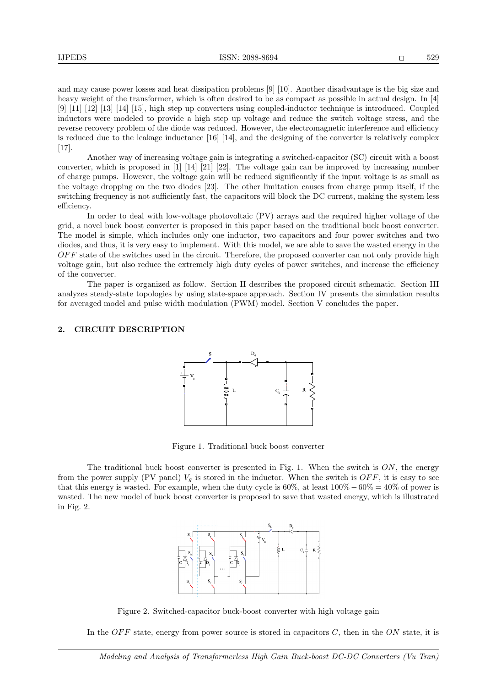and may cause power losses and heat dissipation problems [9] [10]. Another disadvantage is the big size and heavy weight of the transformer, which is often desired to be as compact as possible in actual design. In [4] [9] [11] [12] [13] [14] [15], high step up converters using coupled-inductor technique is introduced. Coupled inductors were modeled to provide a high step up voltage and reduce the switch voltage stress, and the reverse recovery problem of the diode was reduced. However, the electromagnetic interference and efficiency is reduced due to the leakage inductance [16] [14], and the designing of the converter is relatively complex [17].

Another way of increasing voltage gain is integrating a switched-capacitor (SC) circuit with a boost converter, which is proposed in [1] [14] [21] [22]. The voltage gain can be improved by increasing number of charge pumps. However, the voltage gain will be reduced significantly if the input voltage is as small as the voltage dropping on the two diodes [23]. The other limitation causes from charge pump itself, if the switching frequency is not sufficiently fast, the capacitors will block the DC current, making the system less efficiency.

In order to deal with low-voltage photovoltaic (PV) arrays and the required higher voltage of the grid, a novel buck boost converter is proposed in this paper based on the traditional buck boost converter. The model is simple, which includes only one inductor, two capacitors and four power switches and two diodes, and thus, it is very easy to implement. With this model, we are able to save the wasted energy in the  $OFF$  state of the switches used in the circuit. Therefore, the proposed converter can not only provide high voltage gain, but also reduce the extremely high duty cycles of power switches, and increase the efficiency of the converter.

The paper is organized as follow. Section II describes the proposed circuit schematic. Section III analyzes steady-state topologies by using state-space approach. Section IV presents the simulation results for averaged model and pulse width modulation (PWM) model. Section V concludes the paper.

#### 2. CIRCUIT DESCRIPTION



Figure 1. Traditional buck boost converter

The traditional buck boost converter is presented in Fig. 1. When the switch is  $ON$ , the energy from the power supply (PV panel)  $V_q$  is stored in the inductor. When the switch is  $OFF$ , it is easy to see that this energy is wasted. For example, when the duty cycle is  $60\%$ , at least  $100\% - 60\% = 40\%$  of power is wasted. The new model of buck boost converter is proposed to save that wasted energy, which is illustrated in Fig. 2.



Figure 2. Switched-capacitor buck-boost converter with high voltage gain

In the OFF state, energy from power source is stored in capacitors  $C$ , then in the ON state, it is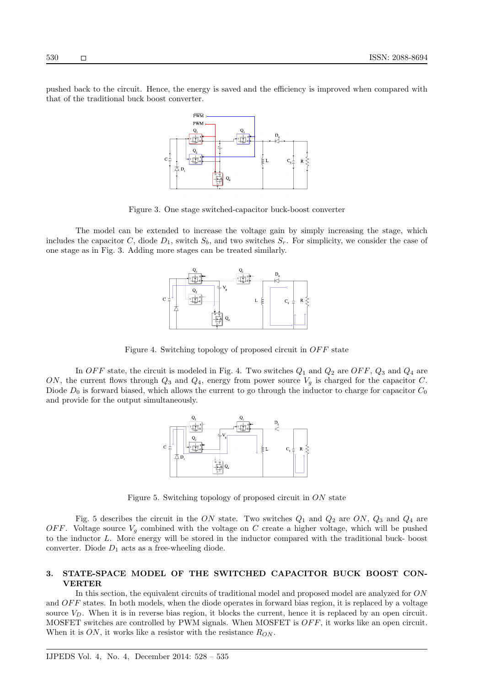pushed back to the circuit. Hence, the energy is saved and the efficiency is improved when compared with that of the traditional buck boost converter.



Figure 3. One stage switched-capacitor buck-boost converter

The model can be extended to increase the voltage gain by simply increasing the stage, which includes the capacitor C, diode  $D_1$ , switch  $S_b$ , and two switches  $S_r$ . For simplicity, we consider the case of one stage as in Fig. 3. Adding more stages can be treated similarly.



Figure 4. Switching topology of proposed circuit in OFF state

In OFF state, the circuit is modeled in Fig. 4. Two switches  $Q_1$  and  $Q_2$  are OFF,  $Q_3$  and  $Q_4$  are ON, the current flows through  $Q_3$  and  $Q_4$ , energy from power source  $V_g$  is charged for the capacitor C. Diode  $D_0$  is forward biased, which allows the current to go through the inductor to charge for capacitor  $C_0$ and provide for the output simultaneously.



Figure 5. Switching topology of proposed circuit in ON state

Fig. 5 describes the circuit in the ON state. Two switches  $Q_1$  and  $Q_2$  are ON,  $Q_3$  and  $Q_4$  are OFF. Voltage source  $V_q$  combined with the voltage on C create a higher voltage, which will be pushed to the inductor L. More energy will be stored in the inductor compared with the traditional buck- boost converter. Diode  $D_1$  acts as a free-wheeling diode.

## 3. STATE-SPACE MODEL OF THE SWITCHED CAPACITOR BUCK BOOST CON-VERTER

In this section, the equivalent circuits of traditional model and proposed model are analyzed for ON and  $OFF$  states. In both models, when the diode operates in forward bias region, it is replaced by a voltage source  $V_D$ . When it is in reverse bias region, it blocks the current, hence it is replaced by an open circuit. MOSFET switches are controlled by PWM signals. When MOSFET is  $OFF$ , it works like an open circuit. When it is  $ON$ , it works like a resistor with the resistance  $R_{ON}$ .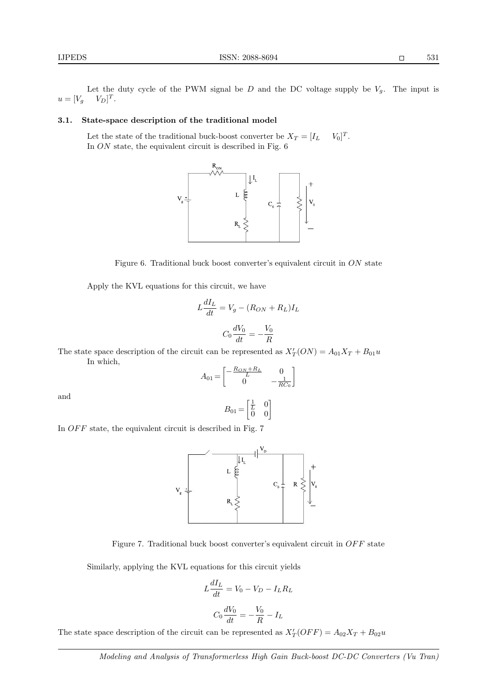Let the duty cycle of the PWM signal be  $D$  and the DC voltage supply be  $V_g$ . The input is  $u = [V_g \t V_D]^T$ .

# 3.1. State-space description of the traditional model

Let the state of the traditional buck-boost converter be  $X_T = [I_L]$  $T$ . In ON state, the equivalent circuit is described in Fig. 6



Figure 6. Traditional buck boost converter's equivalent circuit in ON state

Apply the KVL equations for this circuit, we have

$$
L\frac{dI_L}{dt} = V_g - (R_{ON} + R_L)I_L
$$

$$
C_0\frac{dV_0}{dt} = -\frac{V_0}{R}
$$

The state space description of the circuit can be represented as  $X'_T(ON) = A_{01}X_T + B_{01}u$ In which,

$$
A_{01} = \begin{bmatrix} -\frac{R_{ON} + R_L}{L} & 0\\ 0 & -\frac{1}{RC_0} \end{bmatrix}
$$

and

$$
B_{01}\!=\!\begin{bmatrix}\frac{1}{L}&0\\0&0\end{bmatrix}
$$

In  $OFF$  state, the equivalent circuit is described in Fig. 7



Figure 7. Traditional buck boost converter's equivalent circuit in  $OFF$  state

Similarly, applying the KVL equations for this circuit yields

$$
L\frac{dI_L}{dt} = V_0 - V_D - I_L R_L
$$

$$
C_0 \frac{dV_0}{dt} = -\frac{V_0}{R} - I_L
$$

The state space description of the circuit can be represented as  $X'_T(OFF) = A_{02}X_T + B_{02}u$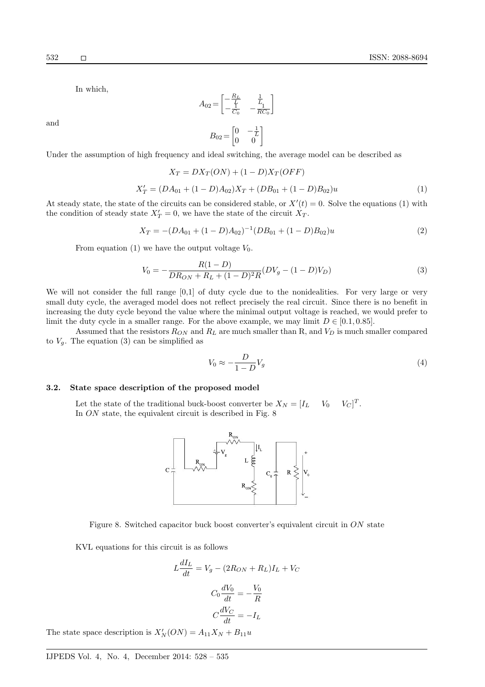and

In which,

$$
A_{02} = \begin{bmatrix} -\frac{R_L}{L} & \frac{1}{L} \\ -\frac{1}{C_0} & -\frac{1}{RC_0} \end{bmatrix}
$$

$$
B_{02} = \begin{bmatrix} 0 & -\frac{1}{L} \\ 0 & 0 \end{bmatrix}
$$

Under the assumption of high frequency and ideal switching, the average model can be described as

$$
X_T = DX_T(ON) + (1 - D)X_T(OFF)
$$
  
\n
$$
X'_T = (DA_{01} + (1 - D)A_{02})X_T + (DB_{01} + (1 - D)B_{02})u
$$
\n(1)

At steady state, the state of the circuits can be considered stable, or  $X'(t) = 0$ . Solve the equations (1) with the condition of steady state  $X'_T = 0$ , we have the state of the circuit  $X'_T$ .

$$
X_T = -(DA_{01} + (1 - D)A_{02})^{-1}(DB_{01} + (1 - D)B_{02})u
$$
\n(2)

From equation (1) we have the output voltage  $V_0$ .

X′

$$
V_0 = -\frac{R(1 - D)}{DR_{ON} + R_L + (1 - D)^2 R} (DV_g - (1 - D)V_D)
$$
\n(3)

We will not consider the full range [0,1] of duty cycle due to the nonidealities. For very large or very small duty cycle, the averaged model does not reflect precisely the real circuit. Since there is no benefit in increasing the duty cycle beyond the value where the minimal output voltage is reached, we would prefer to limit the duty cycle in a smaller range. For the above example, we may limit  $D \in [0.1, 0.85]$ .

Assumed that the resistors  $R_{ON}$  and  $R_L$  are much smaller than R, and  $V_D$  is much smaller compared to  $V_g$ . The equation (3) can be simplified as

$$
V_0 \approx -\frac{D}{1 - D} V_g \tag{4}
$$

# 3.2. State space description of the proposed model

Let the state of the traditional buck-boost converter be  $X_N = \begin{bmatrix} I_L & V_0 \end{bmatrix}$  $T$ . In ON state, the equivalent circuit is described in Fig. 8



Figure 8. Switched capacitor buck boost converter's equivalent circuit in ON state

KVL equations for this circuit is as follows

$$
L\frac{dI_L}{dt} = V_g - (2R_{ON} + R_L)I_L + V_C
$$

$$
C_0 \frac{dV_0}{dt} = -\frac{V_0}{R}
$$

$$
C\frac{dV_C}{dt} = -I_L
$$

The state space description is  $X'_{N}(ON) = A_{11}X_{N} + B_{11}u$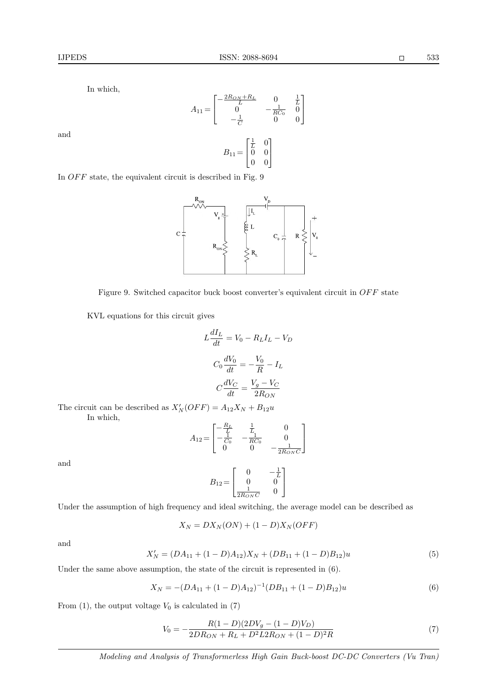and

In which,

$$
A_{11} = \begin{bmatrix} -\frac{2R_{ON} + R_L}{L} & 0 & \frac{1}{L} \\ 0 & -\frac{1}{RC_0} & 0 \\ -\frac{1}{C} & 0 & 0 \end{bmatrix}
$$

$$
B_{11} = \begin{bmatrix} \frac{1}{L} & 0 \\ 0 & 0 \\ 0 & 0 \end{bmatrix}
$$

In  $OFF$  state, the equivalent circuit is described in Fig.  $9$ 



Figure 9. Switched capacitor buck boost converter's equivalent circuit in  $OFF$  state

KVL equations for this circuit gives

$$
L\frac{dI_L}{dt} = V_0 - R_L I_L - V_D
$$

$$
C_0 \frac{dV_0}{dt} = -\frac{V_0}{R} - I_L
$$

$$
C\frac{dV_C}{dt} = \frac{V_g - V_C}{2R_{ON}}
$$

The circuit can be described as  $X'_{N}(OFF) = A_{12}X_{N} + B_{12}u$ In which,

$$
A_{12} = \begin{bmatrix} -\frac{R_L}{L} & \frac{1}{L} & 0\\ -\frac{1}{C_0} & -\frac{1}{RC_0} & 0\\ 0 & 0 & -\frac{1}{2R_{ON}C} \end{bmatrix}
$$

and

$$
B_{12} = \begin{bmatrix} 0 & -\frac{1}{L} \\ 0 & 0 \\ \frac{1}{2R_{ON}C} & 0 \end{bmatrix}
$$

Under the assumption of high frequency and ideal switching, the average model can be described as

$$
X_N = DX_N(ON) + (1 - D)X_N(OFF)
$$

and

$$
X'_N = (DA_{11} + (1 - D)A_{12})X_N + (DB_{11} + (1 - D)B_{12})u
$$
\n(5)

Under the same above assumption, the state of the circuit is represented in  $(6)$ .

$$
X_N = -(DA_{11} + (1 - D)A_{12})^{-1}(DB_{11} + (1 - D)B_{12})u
$$
\n(6)

From  $(1)$ , the output voltage  $V_0$  is calculated in  $(7)$ 

$$
V_0 = -\frac{R(1 - D)(2DV_g - (1 - D)V_D)}{2DR_{ON} + R_L + D^2 L 2R_{ON} + (1 - D)^2 R}
$$
\n<sup>(7)</sup>

*Modeling and Analysis of Transformerless High Gain Buck-boost DC-DC Converters (Vu Tran)*

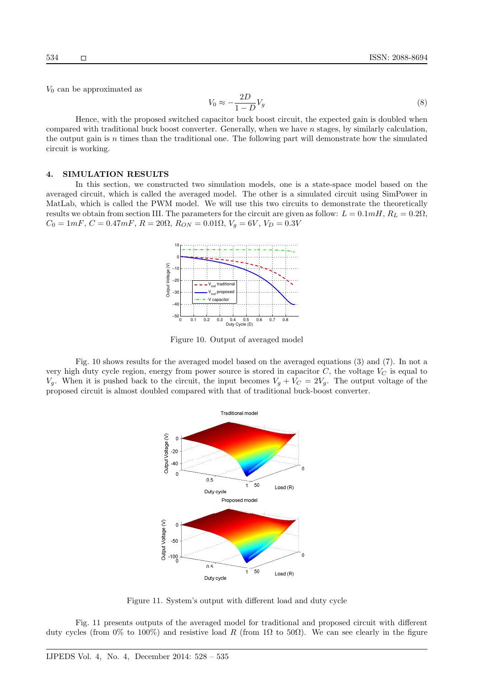$V_0$  can be approximated as

$$
V_0 \approx -\frac{2D}{1-D}V_g\tag{8}
$$

Hence, with the proposed switched capacitor buck boost circuit, the expected gain is doubled when compared with traditional buck boost converter. Generally, when we have  $n$  stages, by similarly calculation, the output gain is n times than the traditional one. The following part will demonstrate how the simulated circuit is working.

## 4. SIMULATION RESULTS

In this section, we constructed two simulation models, one is a state-space model based on the averaged circuit, which is called the averaged model. The other is a simulated circuit using SimPower in MatLab, which is called the PWM model. We will use this two circuits to demonstrate the theoretically results we obtain from section III. The parameters for the circuit are given as follow:  $L = 0.1mH$ ,  $R_L = 0.2\Omega$ ,  $C_0 = 1mF, C = 0.47mF, R = 20\Omega, R_{ON} = 0.01\Omega, V_g = 6V, V_D = 0.3V$ 



Figure 10. Output of averaged model

Fig. 10 shows results for the averaged model based on the averaged equations (3) and (7). In not a very high duty cycle region, energy from power source is stored in capacitor  $C$ , the voltage  $V_C$  is equal to  $V_q$ . When it is pushed back to the circuit, the input becomes  $V_q + V_C = 2V_q$ . The output voltage of the proposed circuit is almost doubled compared with that of traditional buck-boost converter.



Figure 11. System's output with different load and duty cycle

Fig. 11 presents outputs of the averaged model for traditional and proposed circuit with different duty cycles (from 0% to 100%) and resistive load R (from 1Ω to 50Ω). We can see clearly in the figure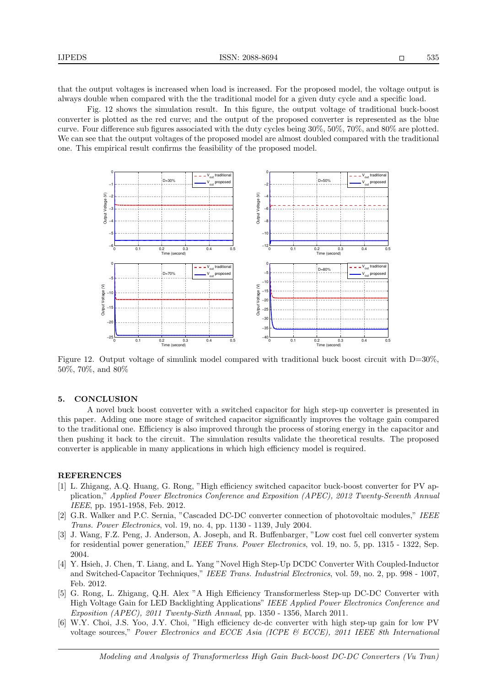that the output voltages is increased when load is increased. For the proposed model, the voltage output is always double when compared with the the traditional model for a given duty cycle and a specific load.

Fig. 12 shows the simulation result. In this figure, the output voltage of traditional buck-boost converter is plotted as the red curve; and the output of the proposed converter is represented as the blue curve. Four difference sub figures associated with the duty cycles being 30%, 50%, 70%, and 80% are plotted. We can see that the output voltages of the proposed model are almost doubled compared with the traditional one. This empirical result confirms the feasibility of the proposed model.



Figure 12. Output voltage of simulink model compared with traditional buck boost circuit with D=30%, 50%, 70%, and 80%

## 5. CONCLUSION

A novel buck boost converter with a switched capacitor for high step-up converter is presented in this paper. Adding one more stage of switched capacitor significantly improves the voltage gain compared to the traditional one. Efficiency is also improved through the process of storing energy in the capacitor and then pushing it back to the circuit. The simulation results validate the theoretical results. The proposed converter is applicable in many applications in which high efficiency model is required.

#### REFERENCES

- [1] L. Zhigang, A.Q. Huang, G. Rong, "High efficiency switched capacitor buck-boost converter for PV application," *Applied Power Electronics Conference and Exposition (APEC), 2012 Twenty-Seventh Annual IEEE*, pp. 1951-1958, Feb. 2012.
- [2] G.R. Walker and P.C. Sernia, "Cascaded DC-DC converter connection of photovoltaic modules," *IEEE Trans. Power Electronics*, vol. 19, no. 4, pp. 1130 - 1139, July 2004.
- [3] J. Wang, F.Z. Peng, J. Anderson, A. Joseph, and R. Buffenbarger, "Low cost fuel cell converter system for residential power generation," *IEEE Trans. Power Electronics*, vol. 19, no. 5, pp. 1315 - 1322, Sep. 2004.
- [4] Y. Hsieh, J. Chen, T. Liang, and L. Yang "Novel High Step-Up DCDC Converter With Coupled-Inductor and Switched-Capacitor Techniques," *IEEE Trans. Industrial Electronics*, vol. 59, no. 2, pp. 998 - 1007, Feb. 2012.
- [5] G. Rong, L. Zhigang, Q.H. Alex "A High Efficiency Transformerless Step-up DC-DC Converter with High Voltage Gain for LED Backlighting Applications" *IEEE Applied Power Electronics Conference and Exposition (APEC), 2011 Twenty-Sixth Annual*, pp. 1350 - 1356, March 2011.
- [6] W.Y. Choi, J.S. Yoo, J.Y. Choi, "High efficiency dc-dc converter with high step-up gain for low PV voltage sources," *Power Electronics and ECCE Asia (ICPE & ECCE), 2011 IEEE 8th International*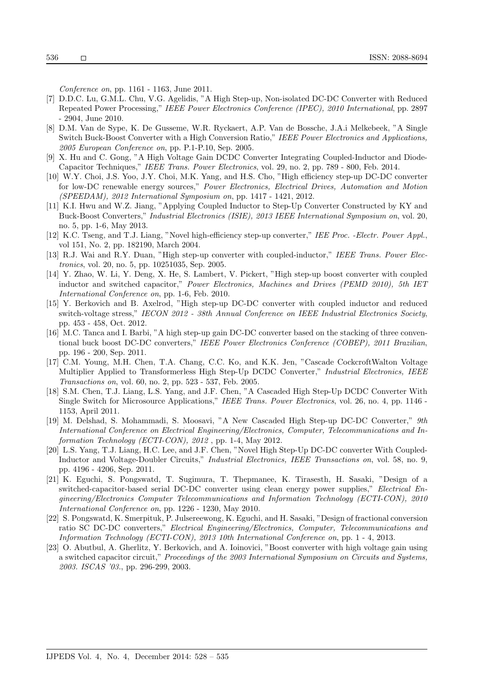*Conference on*, pp. 1161 - 1163, June 2011.

- [7] D.D.C. Lu, G.M.L. Chu, V.G. Agelidis, "A High Step-up, Non-isolated DC-DC Converter with Reduced Repeated Power Processing," *IEEE Power Electronics Conference (IPEC), 2010 International*, pp. 2897 - 2904, June 2010.
- [8] D.M. Van de Sype, K. De Gusseme, W.R. Ryckaert, A.P. Van de Bossche, J.A.i Melkebeek, "A Single Switch Buck-Boost Converter with a High Conversion Ratio," *IEEE Power Electronics and Applications, 2005 European Conference on*, pp. P.1-P.10, Sep. 2005.
- [9] X. Hu and C. Gong, "A High Voltage Gain DCDC Converter Integrating Coupled-Inductor and Diode-Capacitor Techniques," *IEEE Trans. Power Electronics*, vol. 29, no. 2, pp. 789 - 800, Feb. 2014.
- [10] W.Y. Choi, J.S. Yoo, J.Y. Choi, M.K. Yang, and H.S. Cho, "High efficiency step-up DC-DC converter for low-DC renewable energy sources," *Power Electronics, Electrical Drives, Automation and Motion (SPEEDAM), 2012 International Symposium on*, pp. 1417 - 1421, 2012.
- [11] K.I. Hwu and W.Z. Jiang, "Applying Coupled Inductor to Step-Up Converter Constructed by KY and Buck-Boost Converters," *Industrial Electronics (ISIE), 2013 IEEE International Symposium on*, vol. 20, no. 5, pp. 1-6, May 2013.
- [12] K.C. Tseng, and T.J. Liang, "Novel high-efficiency step-up converter," *IEE Proc. -Electr. Power Appl.*, vol 151, No. 2, pp. 182190, March 2004.
- [13] R.J. Wai and R.Y. Duan, "High step-up converter with coupled-inductor," *IEEE Trans. Power Electronics*, vol. 20, no. 5, pp. 10251035, Sep. 2005.
- [14] Y. Zhao, W. Li, Y. Deng, X. He, S. Lambert, V. Pickert, "High step-up boost converter with coupled inductor and switched capacitor," *Power Electronics, Machines and Drives (PEMD 2010), 5th IET International Conference on*, pp. 1-6, Feb. 2010.
- [15] Y. Berkovich and B. Axelrod, "High step-up DC-DC converter with coupled inductor and reduced switch-voltage stress," *IECON 2012 - 38th Annual Conference on IEEE Industrial Electronics Society*, pp. 453 - 458, Oct. 2012.
- [16] M.C. Tanca and I. Barbi, "A high step-up gain DC-DC converter based on the stacking of three conventional buck boost DC-DC converters," *IEEE Power Electronics Conference (COBEP), 2011 Brazilian*, pp. 196 - 200, Sep. 2011.
- [17] C.M. Young, M.H. Chen, T.A. Chang, C.C. Ko, and K.K. Jen, "Cascade CockcroftWalton Voltage Multiplier Applied to Transformerless High Step-Up DCDC Converter," *Industrial Electronics, IEEE Transactions on*, vol. 60, no. 2, pp. 523 - 537, Feb. 2005.
- [18] S.M. Chen, T.J. Liang, L.S. Yang, and J.F. Chen, "A Cascaded High Step-Up DCDC Converter With Single Switch for Microsource Applications," *IEEE Trans. Power Electronics*, vol. 26, no. 4, pp. 1146 - 1153, April 2011.
- [19] M. Delshad, S. Mohammadi, S. Moosavi, "A New Cascaded High Step-up DC-DC Converter," *9th International Conference on Electrical Engineering/Electronics, Computer, Telecommunications and Information Technology (ECTI-CON), 2012* , pp. 1-4, May 2012.
- [20] L.S. Yang, T.J. Liang, H.C. Lee, and J.F. Chen, "Novel High Step-Up DC-DC converter With Coupled-Inductor and Voltage-Doubler Circuits," *Industrial Electronics, IEEE Transactions on*, vol. 58, no. 9, pp. 4196 - 4206, Sep. 2011.
- [21] K. Eguchi, S. Pongswatd, T. Sugimura, T. Thepmanee, K. Tirasesth, H. Sasaki, "Design of a switched-capacitor-based serial DC-DC converter using clean energy power supplies," *Electrical Engineering/Electronics Computer Telecommunications and Information Technology (ECTI-CON), 2010 International Conference on*, pp. 1226 - 1230, May 2010.
- [22] S. Pongswatd, K. Smerpituk, P. Julsereewong, K. Eguchi, and H. Sasaki, "Design of fractional conversion ratio SC DC-DC converters," *Electrical Engineering/Electronics, Computer, Telecommunications and Information Technology (ECTI-CON), 2013 10th International Conference on*, pp. 1 - 4, 2013.
- [23] O. Abutbul, A. Gherlitz, Y. Berkovich, and A. Ioinovici, "Boost converter with high voltage gain using a switched capacitor circuit," *Proceedings of the 2003 International Symposium on Circuits and Systems, 2003. ISCAS '03.*, pp. 296-299, 2003.